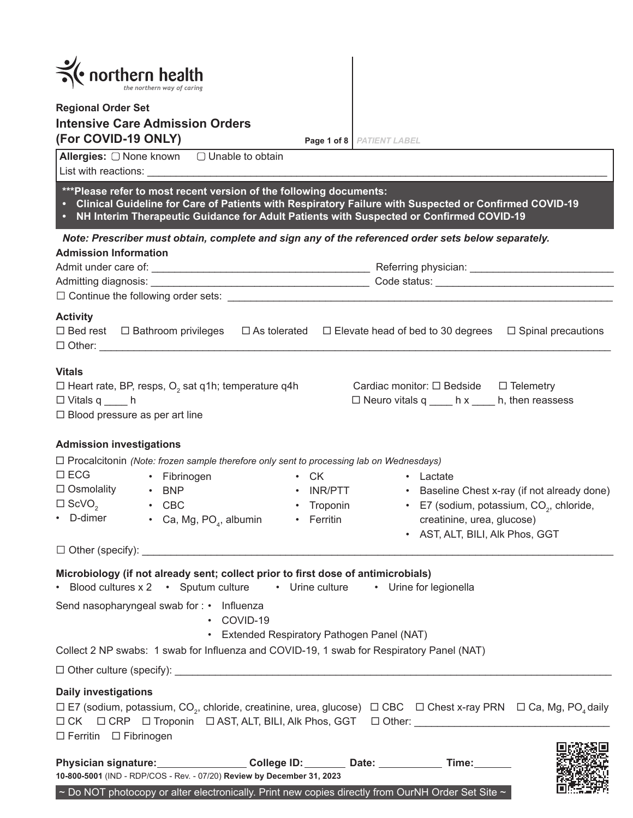| $\frac{1}{\sqrt{\epsilon}}$ northern health<br><b>Regional Order Set</b><br><b>Intensive Care Admission Orders</b><br>(For COVID-19 ONLY)<br>Page 1 of 8 PATIENT LABEL                                                                                                                                                                                                                                                                                                                                                             |
|------------------------------------------------------------------------------------------------------------------------------------------------------------------------------------------------------------------------------------------------------------------------------------------------------------------------------------------------------------------------------------------------------------------------------------------------------------------------------------------------------------------------------------|
| Allergies: O None known<br>$\Box$ Unable to obtain<br>List with reactions: the contraction of the contract of the contract of the contract of the contract of the contract of the contract of the contract of the contract of the contract of the contract of the contract of the co                                                                                                                                                                                                                                               |
| *** Please refer to most recent version of the following documents:<br>• Clinical Guideline for Care of Patients with Respiratory Failure with Suspected or Confirmed COVID-19<br>• NH Interim Therapeutic Guidance for Adult Patients with Suspected or Confirmed COVID-19                                                                                                                                                                                                                                                        |
| Note: Prescriber must obtain, complete and sign any of the referenced order sets below separately.<br><b>Admission Information</b>                                                                                                                                                                                                                                                                                                                                                                                                 |
| <b>Activity</b><br>$\Box$ Bed rest $\Box$ Bathroom privileges $\Box$ As tolerated $\Box$ Elevate head of bed to 30 degrees $\Box$ Spinal precautions                                                                                                                                                                                                                                                                                                                                                                               |
| <b>Vitals</b><br>$\Box$ Heart rate, BP, resps, O <sub>2</sub> sat q1h; temperature q4h<br>Cardiac monitor: $\Box$ Bedside $\Box$ Telemetry<br>$\Box$ Neuro vitals q _____ h x _____ h, then reassess<br>$\Box$ Vitals q _____ h<br>$\Box$ Blood pressure as per art line                                                                                                                                                                                                                                                           |
| <b>Admission investigations</b><br>$\Box$ Procalcitonin (Note: frozen sample therefore only sent to processing lab on Wednesdays)<br>$\square$ ECG<br>• Fibrinogen<br>$\cdot$ CK<br>• Lactate<br>$\Box$ Osmolality<br>$\cdot$ BNP<br>• INR/PTT • Baseline Chest x-ray (if not already done)<br>$\square$ ScVO <sub>2</sub> $\cdot$ CBC<br>• Troponin • E7 (sodium, potassium, CO <sub>2</sub> , chloride,<br>• D-dimer<br>• Ca, Mg, $PO4$ , albumin<br>• Ferritin<br>creatinine, urea, glucose)<br>• AST, ALT, BILI, Alk Phos, GGT |
| Microbiology (if not already sent; collect prior to first dose of antimicrobials)<br>• Blood cultures x 2 • Sputum culture • Urine culture • Urine for legionella<br>Send nasopharyngeal swab for: • Influenza<br>• COVID-19<br>• Extended Respiratory Pathogen Panel (NAT)                                                                                                                                                                                                                                                        |
| Collect 2 NP swabs: 1 swab for Influenza and COVID-19, 1 swab for Respiratory Panel (NAT)                                                                                                                                                                                                                                                                                                                                                                                                                                          |
|                                                                                                                                                                                                                                                                                                                                                                                                                                                                                                                                    |
| <b>Daily investigations</b><br>□ E7 (sodium, potassium, CO <sub>2</sub> , chloride, creatinine, urea, glucose) □ CBC □ Chest x-ray PRN □ Ca, Mg, PO <sub>4</sub> daily<br>□ CK □ CRP □ Troponin □ AST, ALT, BILI, Alk Phos, GGT □ Other: ________________________<br>□ Ferritin □ Fibrinogen                                                                                                                                                                                                                                       |
| Physician signature: College ID: Date: Time: Time:<br>10-800-5001 (IND - RDP/COS - Rev. - 07/20) Review by December 31, 2023<br>~ Do NOT photocopy or alter electronically. Print new copies directly from OurNH Order Set Site $\sim$                                                                                                                                                                                                                                                                                             |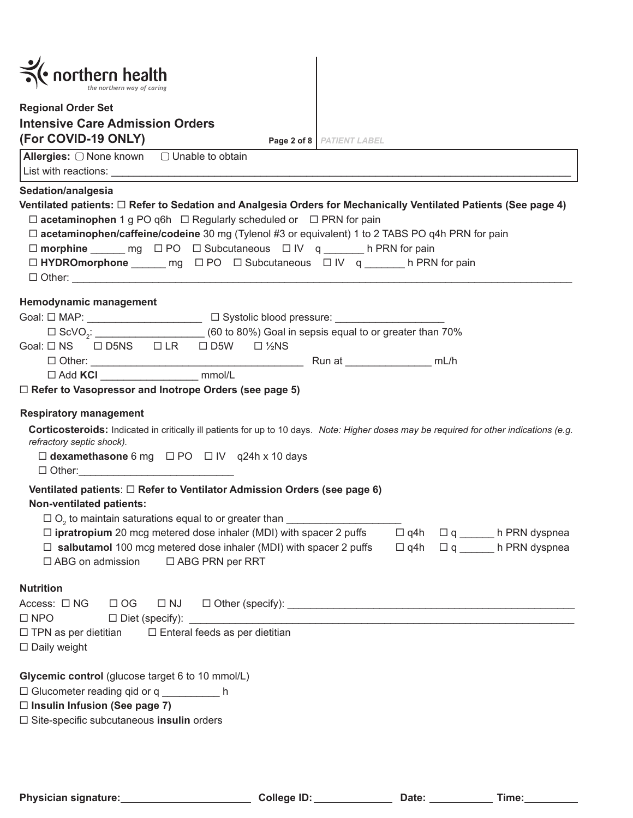| $\left\langle \cdot\text{ northern health}\right\rangle$                                                                                                                                                                                                                                                                             |                                                                                   |
|--------------------------------------------------------------------------------------------------------------------------------------------------------------------------------------------------------------------------------------------------------------------------------------------------------------------------------------|-----------------------------------------------------------------------------------|
| <b>Regional Order Set</b>                                                                                                                                                                                                                                                                                                            |                                                                                   |
| <b>Intensive Care Admission Orders</b>                                                                                                                                                                                                                                                                                               |                                                                                   |
| (For COVID-19 ONLY)<br>Page 2 of 8   PATIENT LABEL                                                                                                                                                                                                                                                                                   |                                                                                   |
|                                                                                                                                                                                                                                                                                                                                      |                                                                                   |
| Sedation/analgesia<br>Ventilated patients: □ Refer to Sedation and Analgesia Orders for Mechanically Ventilated Patients (See page 4)<br>$\Box$ acetaminophen 1 g PO q6h $\Box$ Regularly scheduled or $\Box$ PRN for pain<br>$\Box$ acetaminophen/caffeine/codeine 30 mg (Tylenol #3 or equivalent) 1 to 2 TABS PO q4h PRN for pain |                                                                                   |
|                                                                                                                                                                                                                                                                                                                                      |                                                                                   |
| □ HYDROmorphone ______ mg □ PO □ Subcutaneous □ IV q ______ h PRN for pain                                                                                                                                                                                                                                                           |                                                                                   |
| Hemodynamic management                                                                                                                                                                                                                                                                                                               |                                                                                   |
| Goal: $\square$ MAP: _______________________________ $\square$ Systolic blood pressure: _____________________                                                                                                                                                                                                                        |                                                                                   |
| $\Box$ ScVO <sub>2</sub> : $\Box$ ScVO <sub>2</sub> : (60 to 80%) Goal in sepsis equal to or greater than 70%                                                                                                                                                                                                                        |                                                                                   |
| Goal: □ NS □ D5NS □ LR □ D5W □ ½NS                                                                                                                                                                                                                                                                                                   |                                                                                   |
|                                                                                                                                                                                                                                                                                                                                      |                                                                                   |
| □ Add KCI ________________________ mmol/L                                                                                                                                                                                                                                                                                            |                                                                                   |
| <b>Respiratory management</b><br>Corticosteroids: Indicated in critically ill patients for up to 10 days. Note: Higher doses may be required for other indications (e.g.<br>refractory septic shock).<br>$\Box$ dexamethasone 6 mg $\Box$ PO $\Box$ IV q24h x 10 days<br>$\Box$ Other:                                               |                                                                                   |
| Ventilated patients: □ Refer to Ventilator Admission Orders (see page 6)<br><b>Non-ventilated patients:</b><br>$\Box$ O <sub>2</sub> to maintain saturations equal to or greater than $\Box$                                                                                                                                         |                                                                                   |
| $\Box$ ipratropium 20 mcg metered dose inhaler (MDI) with spacer 2 puffs<br>$\Box$ salbutamol 100 mcg metered dose inhaler (MDI) with spacer 2 puffs<br>$\Box$ ABG on admission $\Box$ ABG PRN per RRT                                                                                                                               | $\Box$ q4h<br>$\Box$ q h PRN dyspnea<br>$\Box$ q4h $\Box$ q _______ h PRN dyspnea |
| <b>Nutrition</b><br>Access: $\Box$ NG<br>$\Box$ OG<br>$\Box$ NJ<br>$\square$ NPO<br>□ Enteral feeds as per dietitian<br>$\Box$ TPN as per dietitian<br>$\square$ Daily weight                                                                                                                                                        |                                                                                   |
| Glycemic control (glucose target 6 to 10 mmol/L)<br>□ Glucometer reading qid or q ___________ h<br>$\Box$ Insulin Infusion (See page 7)<br>□ Site-specific subcutaneous insulin orders                                                                                                                                               |                                                                                   |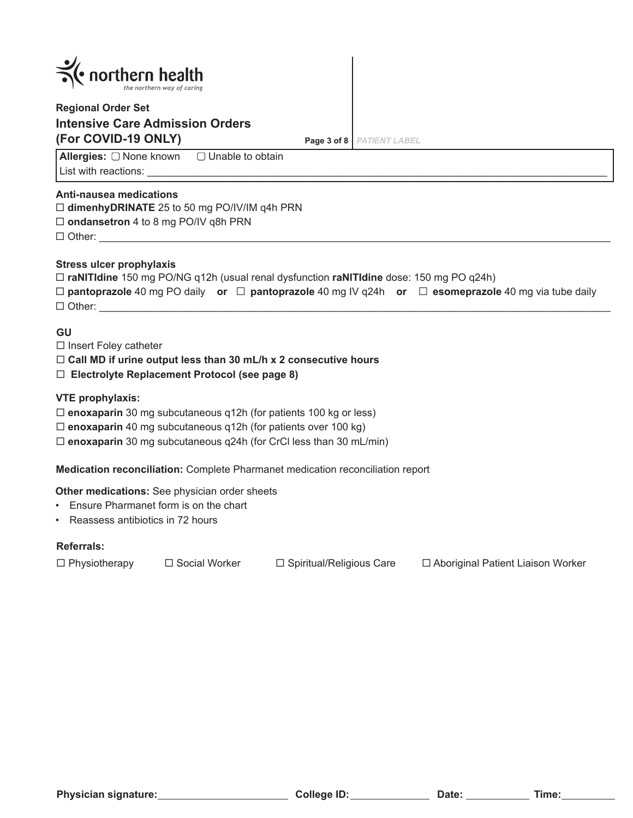| $\leq$ northern health     |  |
|----------------------------|--|
| the northern way of caring |  |

# **Regional Order Set Intensive Care Admission Orders (For COVID-19 ONLY) Page 3 of 8** *PATIENT LABEL*

**Allergies:** □ None known □ Unable to obtain List with reactions:

## **Anti-nausea medications**

**dimenhyDRINATE** 25 to 50 mg PO/IV/IM q4h PRN

**ondansetron** 4 to 8 mg PO/IV q8h PRN

 $\Box$  Other:

## **Stress ulcer prophylaxis**

| $\Box$ raNITIdine 150 mg PO/NG q12h (usual renal dysfunction raNITIdine dose: 150 mg PO q24h) |  |                                                                                                                     |
|-----------------------------------------------------------------------------------------------|--|---------------------------------------------------------------------------------------------------------------------|
|                                                                                               |  | $\Box$ pantoprazole 40 mg PO daily or $\Box$ pantoprazole 40 mg IV q24h or $\Box$ esomeprazole 40 mg via tube daily |
| $\Box$ Other:                                                                                 |  |                                                                                                                     |

## **GU**

 $\Box$  Insert Foley catheter

## **Call MD if urine output less than 30 mL/h x 2 consecutive hours**

**Electrolyte Replacement Protocol (see page 8)**

**VTE prophylaxis:** 

- **enoxaparin** 30 mg subcutaneous q12h (for patients 100 kg or less)
- **enoxaparin** 40 mg subcutaneous q12h (for patients over 100 kg)
- **enoxaparin** 30 mg subcutaneous q24h (for CrCl less than 30 mL/min)

**Medication reconciliation:** Complete Pharmanet medication reconciliation report

**Other medications:** See physician order sheets

- Ensure Pharmanet form is on the chart
- Reassess antibiotics in 72 hours

## **Referrals:**

 $\Box$  Physiotherapy  $\Box$  Social Worker  $\Box$  Spiritual/Religious Care  $\Box$  Aboriginal Patient Liaison Worker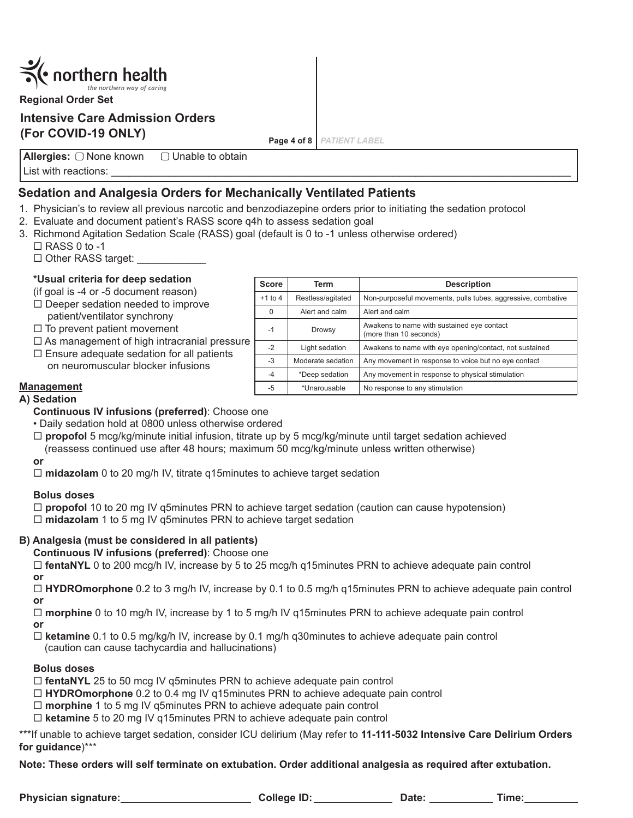

**Regional Order Set**

# **Intensive Care Admission Orders (For COVID-19 ONLY)**

**Page 4 of 8** *PATIENT LABEL*

**Allergies:** List with reactions:  $\Box$  Unable to obtain

## **Sedation and Analgesia Orders for Mechanically Ventilated Patients**

- 1. Physician's to review all previous narcotic and benzodiazepine orders prior to initiating the sedation protocol
- 2. Evaluate and document patient's RASS score q4h to assess sedation goal
- 3. Richmond Agitation Sedation Scale (RASS) goal (default is 0 to -1 unless otherwise ordered)
	- $\Box$  RASS 0 to -1
	- $\Box$  Other RASS target:

## **\*Usual criteria for deep sedation**

- (if goal is -4 or -5 document reason)
- $\square$  Deeper sedation needed to improve patient/ventilator synchrony
- $\Box$  To prevent patient movement
- $\Box$  As management of high intracranial pressure  $\vdash$
- $\square$  Ensure adequate sedation for all patients on neuromuscular blocker infusions
- 

| Score     | Term              | <b>Description</b>                                                   |
|-----------|-------------------|----------------------------------------------------------------------|
| $+1$ to 4 | Restless/agitated | Non-purposeful movements, pulls tubes, aggressive, combative         |
| 0         | Alert and calm    | Alert and calm                                                       |
| $-1$      | Drowsy            | Awakens to name with sustained eye contact<br>(more than 10 seconds) |
| $-2$      | Light sedation    | Awakens to name with eye opening/contact, not sustained              |
| $-3$      | Moderate sedation | Any movement in response to voice but no eye contact                 |
| $-4$      | *Deep sedation    | Any movement in response to physical stimulation                     |
| -5        | *Unarousable      | No response to any stimulation                                       |

## **Management**

## **A) Sedation**

- **Continuous IV infusions (preferred)**: Choose one
- Daily sedation hold at 0800 unless otherwise ordered
- **propofol** 5 mcg/kg/minute initial infusion, titrate up by 5 mcg/kg/minute until target sedation achieved (reassess continued use after 48 hours; maximum 50 mcg/kg/minute unless written otherwise)

**or**

□ midazolam 0 to 20 mg/h IV, titrate q15minutes to achieve target sedation

## **Bolus doses**

 **propofol** 10 to 20 mg IV q5minutes PRN to achieve target sedation (caution can cause hypotension) **midazolam** 1 to 5 mg IV q5minutes PRN to achieve target sedation

## **B) Analgesia (must be considered in all patients)**

**Continuous IV infusions (preferred)**: Choose one

 **fentaNYL** 0 to 200 mcg/h IV, increase by 5 to 25 mcg/h q15minutes PRN to achieve adequate pain control **or**

 **HYDROmorphone** 0.2 to 3 mg/h IV, increase by 0.1 to 0.5 mg/h q15minutes PRN to achieve adequate pain control **or**

 **morphine** 0 to 10 mg/h IV, increase by 1 to 5 mg/h IV q15minutes PRN to achieve adequate pain control **or**

 **ketamine** 0.1 to 0.5 mg/kg/h IV, increase by 0.1 mg/h q30minutes to achieve adequate pain control (caution can cause tachycardia and hallucinations)

## **Bolus doses**

**fentaNYL** 25 to 50 mcg IV q5minutes PRN to achieve adequate pain control

- **HYDROmorphone** 0.2 to 0.4 mg IV q15minutes PRN to achieve adequate pain control
- **morphine** 1 to 5 mg IV q5minutes PRN to achieve adequate pain control
- **ketamine** 5 to 20 mg IV q15minutes PRN to achieve adequate pain control

\*\*\*If unable to achieve target sedation, consider ICU delirium (May refer to **11-111-5032 Intensive Care Delirium Orders for guidance**)\*\*\*

**Note: These orders will self terminate on extubation. Order additional analgesia as required after extubation.**

**Physician signature: College ID: Date: Time:**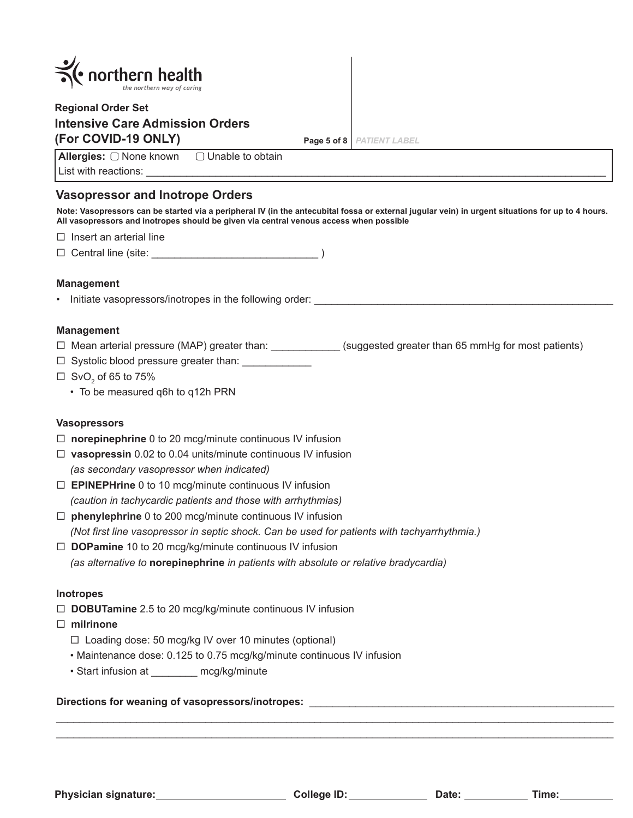| $\leq$ northern health<br>the northern way of caring                                       |             |                      |
|--------------------------------------------------------------------------------------------|-------------|----------------------|
| <b>Regional Order Set</b><br><b>Intensive Care Admission Orders</b><br>(For COVID-19 ONLY) | Page 5 of 8 | <b>PATIENT LABEL</b> |
| <b>Allergies:</b> $\Box$ None known $\Box$ Unable to obtain<br>List with reactions:        |             |                      |

## **Vasopressor and Inotrope Orders**

**Note: Vasopressors can be started via a peripheral IV (in the antecubital fossa or external jugular vein) in urgent situations for up to 4 hours. All vasopressors and inotropes should be given via central venous access when possible**

 $\square$  Insert an arterial line

 $\Box$  Central line (site:  $\Box$ 

#### **Management**

• Initiate vasopressors/inotropes in the following order:

#### **Management**

- □ Mean arterial pressure (MAP) greater than: \_\_\_\_\_\_\_\_\_\_\_\_\_(suggested greater than 65 mmHg for most patients)
- Systolic blood pressure greater than: \_\_\_\_\_\_\_\_\_\_\_\_
- $\Box~$  SvO $_2$  of 65 to 75%
	- To be measured q6h to q12h PRN

#### **Vasopressors**

- □ **norepinephrine** 0 to 20 mcg/minute continuous IV infusion
- **vasopressin** 0.02 to 0.04 units/minute continuous IV infusion *(as secondary vasopressor when indicated)*
- **EPINEPHrine** 0 to 10 mcg/minute continuous IV infusion *(caution in tachycardic patients and those with arrhythmias)*
- **phenylephrine** 0 to 200 mcg/minute continuous IV infusion *(Not first line vasopressor in septic shock. Can be used for patients with tachyarrhythmia.)*
- □ **DOPamine** 10 to 20 mcg/kg/minute continuous IV infusion *(as alternative to* **norepinephrine** *in patients with absolute or relative bradycardia)*

#### **Inotropes**

□ **DOBUTamine** 2.5 to 20 mcg/kg/minute continuous IV infusion

#### **milrinone**

- $\Box$  Loading dose: 50 mcg/kg IV over 10 minutes (optional)
- Maintenance dose: 0.125 to 0.75 mcg/kg/minute continuous IV infusion
- Start infusion at \_\_\_\_\_\_\_\_ mcg/kg/minute

#### **Directions for weaning of vasopressors/inotropes:** \_\_\_\_\_\_\_\_\_\_\_\_\_\_\_\_\_\_\_\_\_\_\_\_\_\_\_\_\_\_\_\_\_\_\_\_\_\_\_\_\_\_\_\_\_\_\_\_\_\_\_\_\_

**Physician signature: College ID: Date: Time:**

 $\overline{a}$  , and the set of the set of the set of the set of the set of the set of the set of the set of the set of the set of the set of the set of the set of the set of the set of the set of the set of the set of the set  $\overline{a}$  , and the set of the set of the set of the set of the set of the set of the set of the set of the set of the set of the set of the set of the set of the set of the set of the set of the set of the set of the set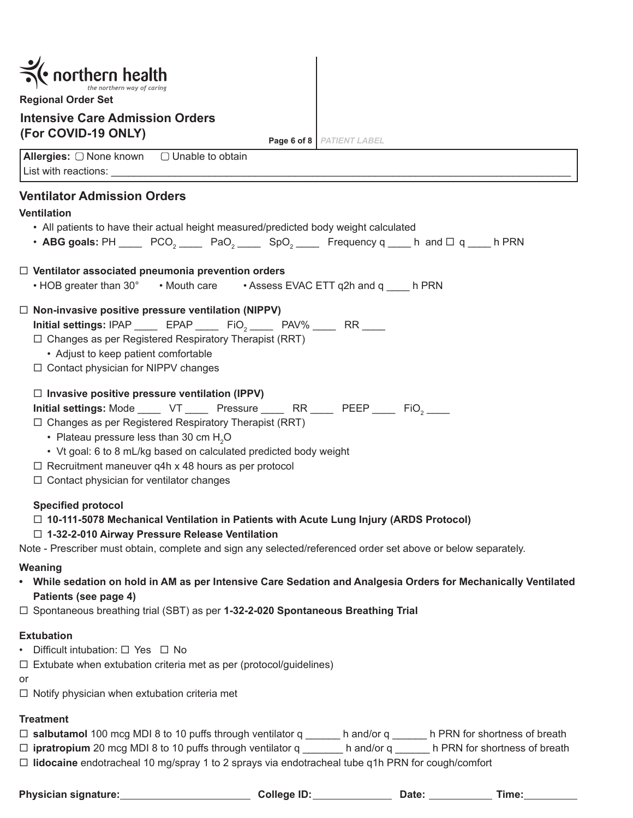| <b>Regional Order Set</b>                                                                                                                                                                                                                                                                                                                                                                                                                                         |
|-------------------------------------------------------------------------------------------------------------------------------------------------------------------------------------------------------------------------------------------------------------------------------------------------------------------------------------------------------------------------------------------------------------------------------------------------------------------|
| <b>Intensive Care Admission Orders</b>                                                                                                                                                                                                                                                                                                                                                                                                                            |
| (For COVID-19 ONLY)<br>Page 6 of 8   PATIENT LABEL                                                                                                                                                                                                                                                                                                                                                                                                                |
| Allergies: □ None known □ Unable to obtain                                                                                                                                                                                                                                                                                                                                                                                                                        |
| <b>Ventilator Admission Orders</b>                                                                                                                                                                                                                                                                                                                                                                                                                                |
| <b>Ventilation</b>                                                                                                                                                                                                                                                                                                                                                                                                                                                |
| • All patients to have their actual height measured/predicted body weight calculated                                                                                                                                                                                                                                                                                                                                                                              |
| • ABG goals: PH _____ PCO <sub>2</sub> _____ PaO <sub>2</sub> _____ SpO <sub>2</sub> _____ Frequency q ____ h and $\Box$ q ____ h PRN                                                                                                                                                                                                                                                                                                                             |
| $\Box$ Ventilator associated pneumonia prevention orders<br>• HOB greater than 30° • Mouth care • Assess EVAC ETT q2h and q ____ h PRN                                                                                                                                                                                                                                                                                                                            |
| $\Box$ Non-invasive positive pressure ventilation (NIPPV)                                                                                                                                                                                                                                                                                                                                                                                                         |
| Initial settings: IPAP _____ EPAP _____ FiO <sub>2</sub> _____ PAV% ____ RR ____                                                                                                                                                                                                                                                                                                                                                                                  |
| $\Box$ Changes as per Registered Respiratory Therapist (RRT)<br>• Adjust to keep patient comfortable                                                                                                                                                                                                                                                                                                                                                              |
| $\Box$ Contact physician for NIPPV changes                                                                                                                                                                                                                                                                                                                                                                                                                        |
| $\Box$ Invasive positive pressure ventilation (IPPV)<br>Initial settings: Mode _____ VT _____ Pressure _____ RR ____ PEEP ____ FiO <sub>2</sub> ____<br>$\Box$ Changes as per Registered Respiratory Therapist (RRT)<br>• Plateau pressure less than 30 cm H <sub>2</sub> O<br>• Vt goal: 6 to 8 mL/kg based on calculated predicted body weight<br>$\Box$ Recruitment maneuver q4h x 48 hours as per protocol<br>$\Box$ Contact physician for ventilator changes |
| <b>Specified protocol</b>                                                                                                                                                                                                                                                                                                                                                                                                                                         |
| $\Box$ 10-111-5078 Mechanical Ventilation in Patients with Acute Lung Injury (ARDS Protocol)                                                                                                                                                                                                                                                                                                                                                                      |
| □ 1-32-2-010 Airway Pressure Release Ventilation<br>Note - Prescriber must obtain, complete and sign any selected/referenced order set above or below separately.                                                                                                                                                                                                                                                                                                 |
| Weaning                                                                                                                                                                                                                                                                                                                                                                                                                                                           |
| While sedation on hold in AM as per Intensive Care Sedation and Analgesia Orders for Mechanically Ventilated<br>$\bullet$<br>Patients (see page 4)                                                                                                                                                                                                                                                                                                                |
| $\Box$ Spontaneous breathing trial (SBT) as per 1-32-2-020 Spontaneous Breathing Trial                                                                                                                                                                                                                                                                                                                                                                            |
| <b>Extubation</b><br>Difficult intubation: $\Box$ Yes $\Box$ No<br>$\Box$ Extubate when extubation criteria met as per (protocol/guidelines)<br>or<br>$\Box$ Notify physician when extubation criteria met                                                                                                                                                                                                                                                        |

## **Treatment**

**salbutamol** 100 mcg MDI 8 to 10 puffs through ventilator q \_\_\_\_\_\_ h and/or q \_\_\_\_\_\_ h PRN for shortness of breath

 **ipratropium** 20 mcg MDI 8 to 10 puffs through ventilator q \_\_\_\_\_\_\_ h and/or q \_\_\_\_\_\_ h PRN for shortness of breath **lidocaine** endotracheal 10 mg/spray 1 to 2 sprays via endotracheal tube q1h PRN for cough/comfort

**Physician Superior Scheme ID: Physician State:** Time: Time: Time: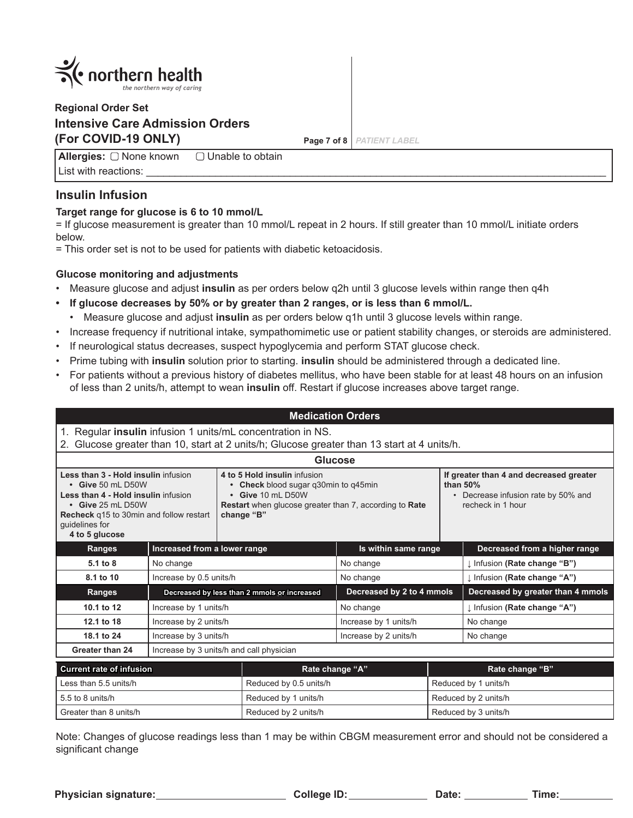

# **Regional Order Set Intensive Care Admission Orders (For COVID-19 ONLY) Page 7 of 8** *PATIENT LABEL*

**Allergies:** List with reactions:  $\Box$  Unable to obtain

## **Insulin Infusion**

## **Target range for glucose is 6 to 10 mmol/L**

= If glucose measurement is greater than 10 mmol/L repeat in 2 hours. If still greater than 10 mmol/L initiate orders below.

= This order set is not to be used for patients with diabetic ketoacidosis.

## **Glucose monitoring and adjustments**

- Measure glucose and adjust **insulin** as per orders below q2h until 3 glucose levels within range then q4h
- **• If glucose decreases by 50% or by greater than 2 ranges, or is less than 6 mmol/L.**
	- Measure glucose and adjust **insulin** as per orders below q1h until 3 glucose levels within range.
- Increase frequency if nutritional intake, sympathomimetic use or patient stability changes, or steroids are administered.
- If neurological status decreases, suspect hypoglycemia and perform STAT glucose check.
- Prime tubing with **insulin** solution prior to starting. **insulin** should be administered through a dedicated line.
- For patients without a previous history of diabetes mellitus, who have been stable for at least 48 hours on an infusion of less than 2 units/h, attempt to wean **insulin** off. Restart if glucose increases above target range.

| <b>Medication Orders</b>                                                                                                                                                                                                                                                                                                                                                                           |                                             |                                                                                                                                                      |                           |                                                                                                                  |                                   |
|----------------------------------------------------------------------------------------------------------------------------------------------------------------------------------------------------------------------------------------------------------------------------------------------------------------------------------------------------------------------------------------------------|---------------------------------------------|------------------------------------------------------------------------------------------------------------------------------------------------------|---------------------------|------------------------------------------------------------------------------------------------------------------|-----------------------------------|
| 1.                                                                                                                                                                                                                                                                                                                                                                                                 |                                             | Regular insulin infusion 1 units/mL concentration in NS.<br>Glucose greater than 10, start at 2 units/h; Glucose greater than 13 start at 4 units/h. |                           |                                                                                                                  |                                   |
|                                                                                                                                                                                                                                                                                                                                                                                                    |                                             | <b>Glucose</b>                                                                                                                                       |                           |                                                                                                                  |                                   |
| Less than 3 - Hold insulin infusion<br>4 to 5 Hold insulin infusion<br>$\cdot$ Give 50 mL D50W<br>• Check blood sugar q30min to q45min<br>• Give 10 ml D50W<br>Less than 4 - Hold insulin infusion<br>$\cdot$ Give 25 mL D50W<br><b>Restart</b> when glucose greater than 7, according to Rate<br><b>Recheck</b> q15 to 30min and follow restart<br>change "B"<br>guidelines for<br>4 to 5 glucose |                                             |                                                                                                                                                      |                           | If greater than 4 and decreased greater<br>than $50\%$<br>Decrease infusion rate by 50% and<br>recheck in 1 hour |                                   |
| Ranges                                                                                                                                                                                                                                                                                                                                                                                             | Increased from a lower range                |                                                                                                                                                      | Is within same range      |                                                                                                                  | Decreased from a higher range     |
| 5.1 to 8                                                                                                                                                                                                                                                                                                                                                                                           | No change                                   |                                                                                                                                                      | No change                 |                                                                                                                  | I Infusion (Rate change "B")      |
| 8.1 to 10                                                                                                                                                                                                                                                                                                                                                                                          | Increase by 0.5 units/h                     |                                                                                                                                                      | No change                 |                                                                                                                  | I Infusion (Rate change "A")      |
| <b>Ranges</b>                                                                                                                                                                                                                                                                                                                                                                                      | Decreased by less than 2 mmols or increased |                                                                                                                                                      | Decreased by 2 to 4 mmols |                                                                                                                  | Decreased by greater than 4 mmols |
| 10.1 to 12                                                                                                                                                                                                                                                                                                                                                                                         | Increase by 1 units/h                       |                                                                                                                                                      | No change                 |                                                                                                                  | I Infusion (Rate change "A")      |
| 12.1 to 18                                                                                                                                                                                                                                                                                                                                                                                         | Increase by 2 units/h                       |                                                                                                                                                      | Increase by 1 units/h     |                                                                                                                  | No change                         |
| 18.1 to 24<br>Increase by 3 units/h                                                                                                                                                                                                                                                                                                                                                                |                                             | Increase by 2 units/h                                                                                                                                |                           | No change                                                                                                        |                                   |
| Greater than 24<br>Increase by 3 units/h and call physician                                                                                                                                                                                                                                                                                                                                        |                                             |                                                                                                                                                      |                           |                                                                                                                  |                                   |

| Current rate of infusion | Rate change "A"        | Rate change "B"      |
|--------------------------|------------------------|----------------------|
| Less than 5.5 units/h    | Reduced by 0.5 units/h | Reduced by 1 units/h |
| 5.5 to 8 units/h         | Reduced by 1 units/h   | Reduced by 2 units/h |
| Greater than 8 units/h   | Reduced by 2 units/h   | Reduced by 3 units/h |

Note: Changes of glucose readings less than 1 may be within CBGM measurement error and should not be considered a significant change

Physician signature: <u>College ID: College ID: College ID: Date: Time:</u>